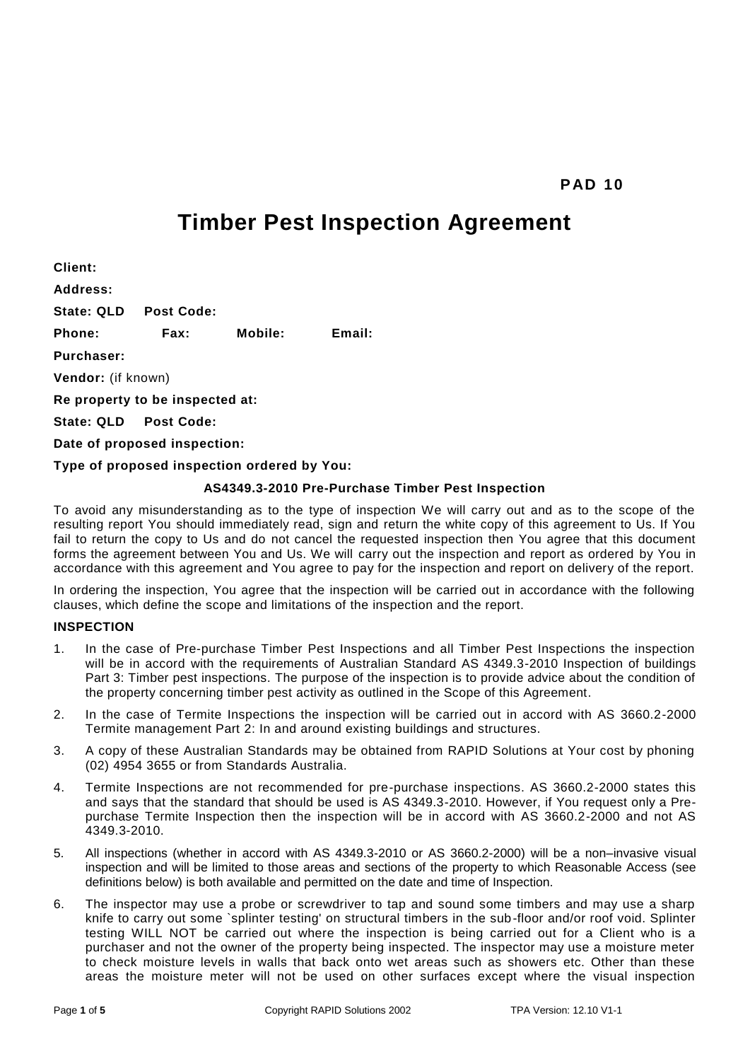# **Timber Pest Inspection Agreement**

**Client: Address: State: QLD Post Code: Phone: Fax: Mobile: Email: Purchaser: Vendor:** (if known) **Re property to be inspected at: State: QLD Post Code: Date of proposed inspection: Type of proposed inspection ordered by You:**

# **AS4349.3-2010 Pre-Purchase Timber Pest Inspection**

To avoid any misunderstanding as to the type of inspection We will carry out and as to the scope of the resulting report You should immediately read, sign and return the white copy of this agreement to Us. If You fail to return the copy to Us and do not cancel the requested inspection then You agree that this document forms the agreement between You and Us. We will carry out the inspection and report as ordered by You in accordance with this agreement and You agree to pay for the inspection and report on delivery of the report.

In ordering the inspection, You agree that the inspection will be carried out in accordance with the following clauses, which define the scope and limitations of the inspection and the report.

### **INSPECTION**

- 1. In the case of Pre-purchase Timber Pest Inspections and all Timber Pest Inspections the inspection will be in accord with the requirements of Australian Standard AS 4349.3-2010 Inspection of buildings Part 3: Timber pest inspections. The purpose of the inspection is to provide advice about the condition of the property concerning timber pest activity as outlined in the Scope of this Agreement.
- 2. In the case of Termite Inspections the inspection will be carried out in accord with AS 3660.2-2000 Termite management Part 2: In and around existing buildings and structures.
- 3. A copy of these Australian Standards may be obtained from RAPID Solutions at Your cost by phoning (02) 4954 3655 or from Standards Australia.
- 4. Termite Inspections are not recommended for pre-purchase inspections. AS 3660.2-2000 states this and says that the standard that should be used is AS 4349.3-2010. However, if You request only a Prepurchase Termite Inspection then the inspection will be in accord with AS 3660.2-2000 and not AS 4349.3-2010.
- 5. All inspections (whether in accord with AS 4349.3-2010 or AS 3660.2-2000) will be a non–invasive visual inspection and will be limited to those areas and sections of the property to which Reasonable Access (see definitions below) is both available and permitted on the date and time of Inspection.
- 6. The inspector may use a probe or screwdriver to tap and sound some timbers and may use a sharp knife to carry out some `splinter testing' on structural timbers in the sub-floor and/or roof void. Splinter testing WILL NOT be carried out where the inspection is being carried out for a Client who is a purchaser and not the owner of the property being inspected. The inspector may use a moisture meter to check moisture levels in walls that back onto wet areas such as showers etc. Other than these areas the moisture meter will not be used on other surfaces except where the visual inspection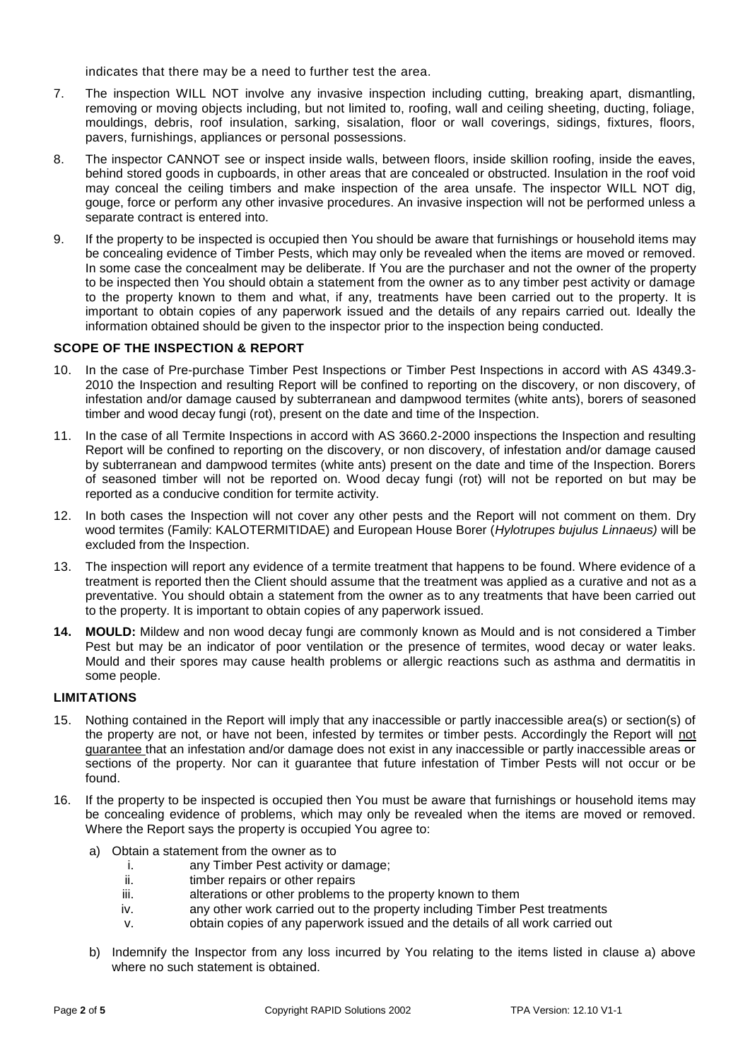indicates that there may be a need to further test the area.

- 7. The inspection WILL NOT involve any invasive inspection including cutting, breaking apart, dismantling, removing or moving objects including, but not limited to, roofing, wall and ceiling sheeting, ducting, foliage, mouldings, debris, roof insulation, sarking, sisalation, floor or wall coverings, sidings, fixtures, floors, pavers, furnishings, appliances or personal possessions.
- 8. The inspector CANNOT see or inspect inside walls, between floors, inside skillion roofing, inside the eaves, behind stored goods in cupboards, in other areas that are concealed or obstructed. Insulation in the roof void may conceal the ceiling timbers and make inspection of the area unsafe. The inspector WILL NOT dig, gouge, force or perform any other invasive procedures. An invasive inspection will not be performed unless a separate contract is entered into.
- 9. If the property to be inspected is occupied then You should be aware that furnishings or household items may be concealing evidence of Timber Pests, which may only be revealed when the items are moved or removed. In some case the concealment may be deliberate. If You are the purchaser and not the owner of the property to be inspected then You should obtain a statement from the owner as to any timber pest activity or damage to the property known to them and what, if any, treatments have been carried out to the property. It is important to obtain copies of any paperwork issued and the details of any repairs carried out. Ideally the information obtained should be given to the inspector prior to the inspection being conducted.

# **SCOPE OF THE INSPECTION & REPORT**

- 10. In the case of Pre-purchase Timber Pest Inspections or Timber Pest Inspections in accord with AS 4349.3- 2010 the Inspection and resulting Report will be confined to reporting on the discovery, or non discovery, of infestation and/or damage caused by subterranean and dampwood termites (white ants), borers of seasoned timber and wood decay fungi (rot), present on the date and time of the Inspection.
- 11. In the case of all Termite Inspections in accord with AS 3660.2-2000 inspections the Inspection and resulting Report will be confined to reporting on the discovery, or non discovery, of infestation and/or damage caused by subterranean and dampwood termites (white ants) present on the date and time of the Inspection. Borers of seasoned timber will not be reported on. Wood decay fungi (rot) will not be reported on but may be reported as a conducive condition for termite activity.
- 12. In both cases the Inspection will not cover any other pests and the Report will not comment on them. Dry wood termites (Family: KALOTERMITIDAE) and European House Borer (*Hylotrupes bujulus Linnaeus)* will be excluded from the Inspection.
- 13. The inspection will report any evidence of a termite treatment that happens to be found. Where evidence of a treatment is reported then the Client should assume that the treatment was applied as a curative and not as a preventative. You should obtain a statement from the owner as to any treatments that have been carried out to the property. It is important to obtain copies of any paperwork issued.
- **14. MOULD:** Mildew and non wood decay fungi are commonly known as Mould and is not considered a Timber Pest but may be an indicator of poor ventilation or the presence of termites, wood decay or water leaks. Mould and their spores may cause health problems or allergic reactions such as asthma and dermatitis in some people.

# **LIMITATIONS**

- 15. Nothing contained in the Report will imply that any inaccessible or partly inaccessible area(s) or section(s) of the property are not, or have not been, infested by termites or timber pests. Accordingly the Report will not guarantee that an infestation and/or damage does not exist in any inaccessible or partly inaccessible areas or sections of the property. Nor can it guarantee that future infestation of Timber Pests will not occur or be found.
- 16. If the property to be inspected is occupied then You must be aware that furnishings or household items may be concealing evidence of problems, which may only be revealed when the items are moved or removed. Where the Report says the property is occupied You agree to:
	- a) Obtain a statement from the owner as to
		- i. any Timber Pest activity or damage;
		- ii. timber repairs or other repairs
		- iii. alterations or other problems to the property known to them
		- iv. any other work carried out to the property including Timber Pest treatments
		- v. obtain copies of any paperwork issued and the details of all work carried out
	- b) Indemnify the Inspector from any loss incurred by You relating to the items listed in clause a) above where no such statement is obtained.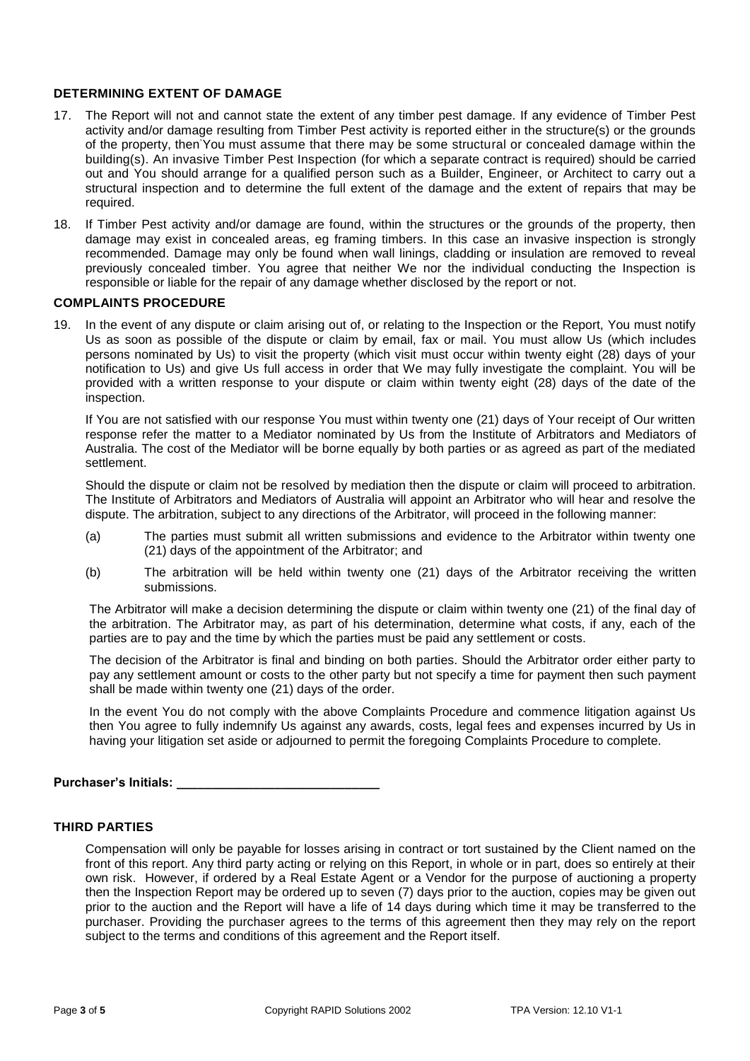# **DETERMINING EXTENT OF DAMAGE**

- 17. The Report will not and cannot state the extent of any timber pest damage. If any evidence of Timber Pest activity and/or damage resulting from Timber Pest activity is reported either in the structure(s) or the grounds of the property, then You must assume that there may be some structural or concealed damage within the building(s). An invasive Timber Pest Inspection (for which a separate contract is required) should be carried out and You should arrange for a qualified person such as a Builder, Engineer, or Architect to carry out a structural inspection and to determine the full extent of the damage and the extent of repairs that may be required.
- 18. If Timber Pest activity and/or damage are found, within the structures or the grounds of the property, then damage may exist in concealed areas, eg framing timbers. In this case an invasive inspection is strongly recommended. Damage may only be found when wall linings, cladding or insulation are removed to reveal previously concealed timber. You agree that neither We nor the individual conducting the Inspection is responsible or liable for the repair of any damage whether disclosed by the report or not.

#### **COMPLAINTS PROCEDURE**

19. In the event of any dispute or claim arising out of, or relating to the Inspection or the Report, You must notify Us as soon as possible of the dispute or claim by email, fax or mail. You must allow Us (which includes persons nominated by Us) to visit the property (which visit must occur within twenty eight (28) days of your notification to Us) and give Us full access in order that We may fully investigate the complaint. You will be provided with a written response to your dispute or claim within twenty eight (28) days of the date of the inspection.

If You are not satisfied with our response You must within twenty one (21) days of Your receipt of Our written response refer the matter to a Mediator nominated by Us from the Institute of Arbitrators and Mediators of Australia. The cost of the Mediator will be borne equally by both parties or as agreed as part of the mediated settlement.

Should the dispute or claim not be resolved by mediation then the dispute or claim will proceed to arbitration. The Institute of Arbitrators and Mediators of Australia will appoint an Arbitrator who will hear and resolve the dispute. The arbitration, subject to any directions of the Arbitrator, will proceed in the following manner:

- (a) The parties must submit all written submissions and evidence to the Arbitrator within twenty one (21) days of the appointment of the Arbitrator; and
- (b) The arbitration will be held within twenty one (21) days of the Arbitrator receiving the written submissions.

The Arbitrator will make a decision determining the dispute or claim within twenty one (21) of the final day of the arbitration. The Arbitrator may, as part of his determination, determine what costs, if any, each of the parties are to pay and the time by which the parties must be paid any settlement or costs.

The decision of the Arbitrator is final and binding on both parties. Should the Arbitrator order either party to pay any settlement amount or costs to the other party but not specify a time for payment then such payment shall be made within twenty one (21) days of the order.

In the event You do not comply with the above Complaints Procedure and commence litigation against Us then You agree to fully indemnify Us against any awards, costs, legal fees and expenses incurred by Us in having your litigation set aside or adjourned to permit the foregoing Complaints Procedure to complete.

# **Purchaser's Initials: \_\_\_\_\_\_\_\_\_\_\_\_\_\_\_\_\_\_\_\_\_\_\_\_\_\_\_\_\_**

## **THIRD PARTIES**

Compensation will only be payable for losses arising in contract or tort sustained by the Client named on the front of this report. Any third party acting or relying on this Report, in whole or in part, does so entirely at their own risk. However, if ordered by a Real Estate Agent or a Vendor for the purpose of auctioning a property then the Inspection Report may be ordered up to seven (7) days prior to the auction, copies may be given out prior to the auction and the Report will have a life of 14 days during which time it may be transferred to the purchaser. Providing the purchaser agrees to the terms of this agreement then they may rely on the report subject to the terms and conditions of this agreement and the Report itself.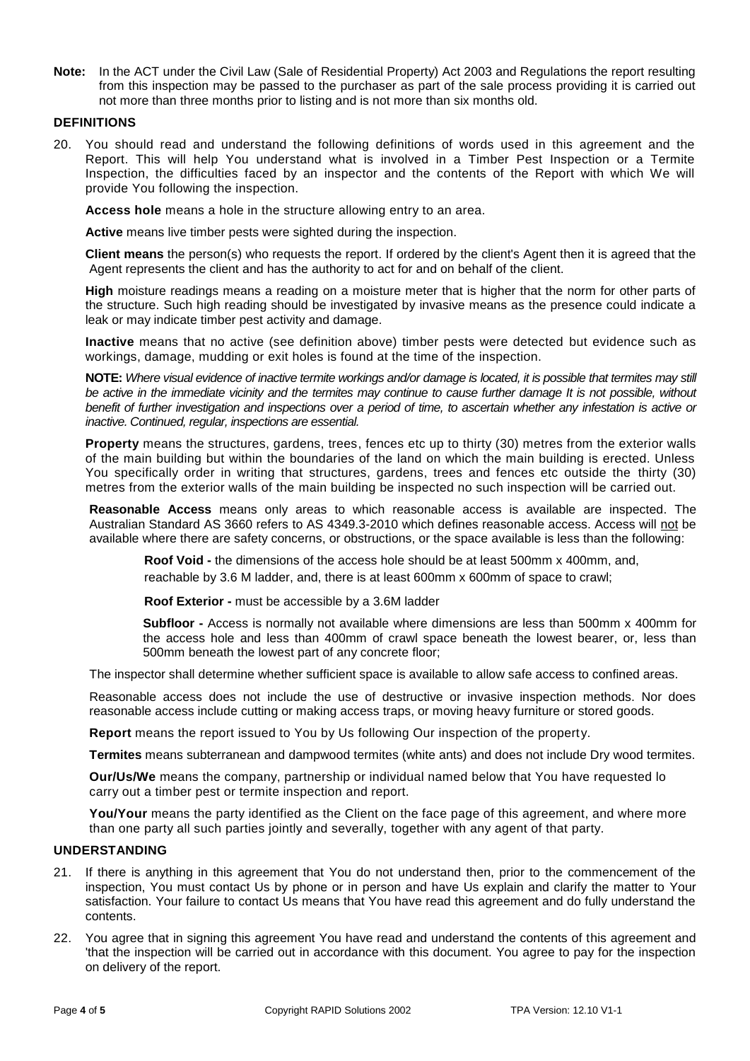**Note:** In the ACT under the Civil Law (Sale of Residential Property) Act 2003 and Regulations the report resulting from this inspection may be passed to the purchaser as part of the sale process providing it is carried out not more than three months prior to listing and is not more than six months old.

# **DEFINITIONS**

20. You should read and understand the following definitions of words used in this agreement and the Report. This will help You understand what is involved in a Timber Pest Inspection or a Termite Inspection, the difficulties faced by an inspector and the contents of the Report with which We will provide You following the inspection.

**Access hole** means a hole in the structure allowing entry to an area.

**Active** means live timber pests were sighted during the inspection.

**Client means** the person(s) who requests the report. If ordered by the client's Agent then it is agreed that the Agent represents the client and has the authority to act for and on behalf of the client.

**High** moisture readings means a reading on a moisture meter that is higher that the norm for other parts of the structure. Such high reading should be investigated by invasive means as the presence could indicate a leak or may indicate timber pest activity and damage.

**Inactive** means that no active (see definition above) timber pests were detected but evidence such as workings, damage, mudding or exit holes is found at the time of the inspection.

**NOTE:** *Where visual evidence of inactive termite workings and/or damage is located, it is possible that termites may still*  be active in the immediate vicinity and the termites may continue to cause further damage It is not possible, without *benefit of further investigation and inspections over a period of time, to ascertain whether any infestation is active or inactive. Continued, regular, inspections are essential.*

**Property** means the structures, gardens, trees, fences etc up to thirty (30) metres from the exterior walls of the main building but within the boundaries of the land on which the main building is erected. Unless You specifically order in writing that structures, gardens, trees and fences etc outside the thirty (30) metres from the exterior walls of the main building be inspected no such inspection will be carried out.

**Reasonable Access** means only areas to which reasonable access is available are inspected. The Australian Standard AS 3660 refers to AS 4349.3-2010 which defines reasonable access. Access will not be available where there are safety concerns, or obstructions, or the space available is less than the following:

**Roof Void -** the dimensions of the access hole should be at least 500mm x 400mm, and, reachable by 3.6 M ladder, and, there is at least 600mm x 600mm of space to crawl;

**Roof Exterior -** must be accessible by a 3.6M ladder

**Subfloor -** Access is normally not available where dimensions are less than 500mm x 400mm for the access hole and less than 400mm of crawl space beneath the lowest bearer, or, less than 500mm beneath the lowest part of any concrete floor;

The inspector shall determine whether sufficient space is available to allow safe access to confined areas.

Reasonable access does not include the use of destructive or invasive inspection methods. Nor does reasonable access include cutting or making access traps, or moving heavy furniture or stored goods.

**Report** means the report issued to You by Us following Our inspection of the property.

**Termites** means subterranean and dampwood termites (white ants) and does not include Dry wood termites.

**Our/Us/We** means the company, partnership or individual named below that You have requested lo carry out a timber pest or termite inspection and report.

**You/Your** means the party identified as the Client on the face page of this agreement, and where more than one party all such parties jointly and severally, together with any agent of that party.

# **UNDERSTANDING**

- 21. If there is anything in this agreement that You do not understand then, prior to the commencement of the inspection, You must contact Us by phone or in person and have Us explain and clarify the matter to Your satisfaction. Your failure to contact Us means that You have read this agreement and do fully understand the contents.
- 22. You agree that in signing this agreement You have read and understand the contents of this agreement and 'that the inspection will be carried out in accordance with this document. You agree to pay for the inspection on delivery of the report.